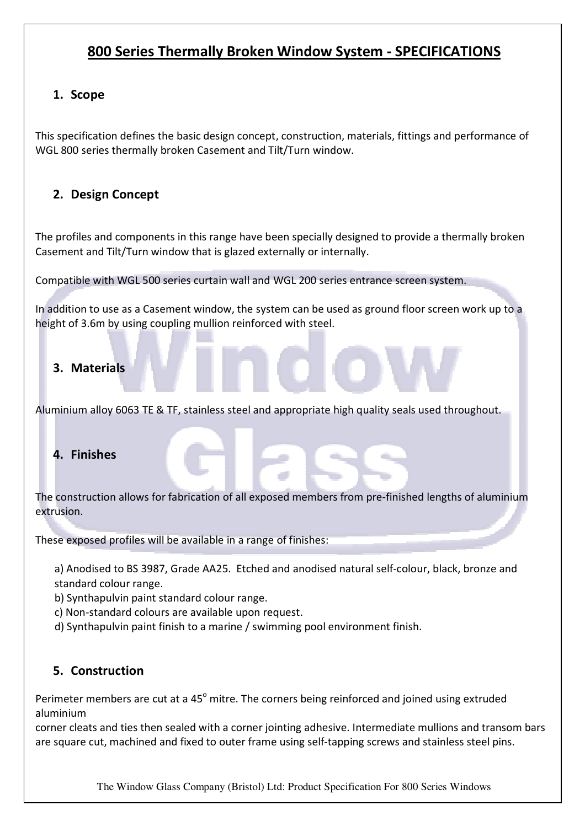# 800 Series Thermally Broken Window System - SPECIFICATIONS

## 1. Scope

This specification defines the basic design concept, construction, materials, fittings and performance of WGL 800 series thermally broken Casement and Tilt/Turn window.

# 2. Design Concept

The profiles and components in this range have been specially designed to provide a thermally broken Casement and Tilt/Turn window that is glazed externally or internally.

Compatible with WGL 500 series curtain wall and WGL 200 series entrance screen system.

In addition to use as a Casement window, the system can be used as ground floor screen work up to a height of 3.6m by using coupling mullion reinforced with steel.

### 3. Materials

Aluminium alloy 6063 TE & TF, stainless steel and appropriate high quality seals used throughout.

### 4. Finishes

The construction allows for fabrication of all exposed members from pre-finished lengths of aluminium extrusion.

These exposed profiles will be available in a range of finishes:

a) Anodised to BS 3987, Grade AA25. Etched and anodised natural self-colour, black, bronze and standard colour range.

b) Synthapulvin paint standard colour range.

c) Non-standard colours are available upon request.

d) Synthapulvin paint finish to a marine / swimming pool environment finish.

# 5. Construction

Perimeter members are cut at a 45<sup>°</sup> mitre. The corners being reinforced and joined using extruded aluminium

corner cleats and ties then sealed with a corner jointing adhesive. Intermediate mullions and transom bars are square cut, machined and fixed to outer frame using self-tapping screws and stainless steel pins.

The Window Glass Company (Bristol) Ltd: Product Specification For 800 Series Windows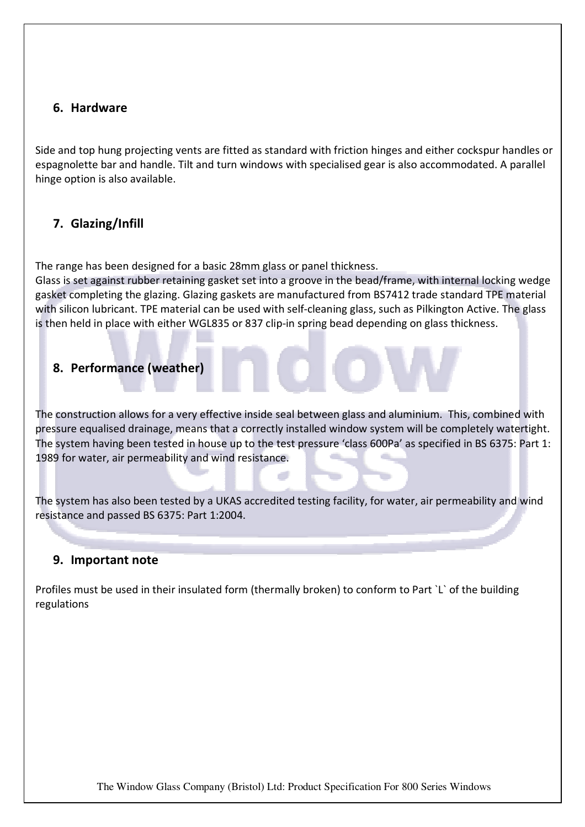### 6. Hardware

Side and top hung projecting vents are fitted as standard with friction hinges and either cockspur handles or espagnolette bar and handle. Tilt and turn windows with specialised gear is also accommodated. A parallel hinge option is also available.

# 7. Glazing/Infill

The range has been designed for a basic 28mm glass or panel thickness.

Glass is set against rubber retaining gasket set into a groove in the bead/frame, with internal locking wedge gasket completing the glazing. Glazing gaskets are manufactured from BS7412 trade standard TPE material with silicon lubricant. TPE material can be used with self-cleaning glass, such as Pilkington Active. The glass is then held in place with either WGL835 or 837 clip-in spring bead depending on glass thickness.

## 8. Performance (weather)

The construction allows for a very effective inside seal between glass and aluminium. This, combined with pressure equalised drainage, means that a correctly installed window system will be completely watertight. The system having been tested in house up to the test pressure 'class 600Pa' as specified in BS 6375: Part 1: 1989 for water, air permeability and wind resistance.

The system has also been tested by a UKAS accredited testing facility, for water, air permeability and wind resistance and passed BS 6375: Part 1:2004.

### 9. Important note

Profiles must be used in their insulated form (thermally broken) to conform to Part `L` of the building regulations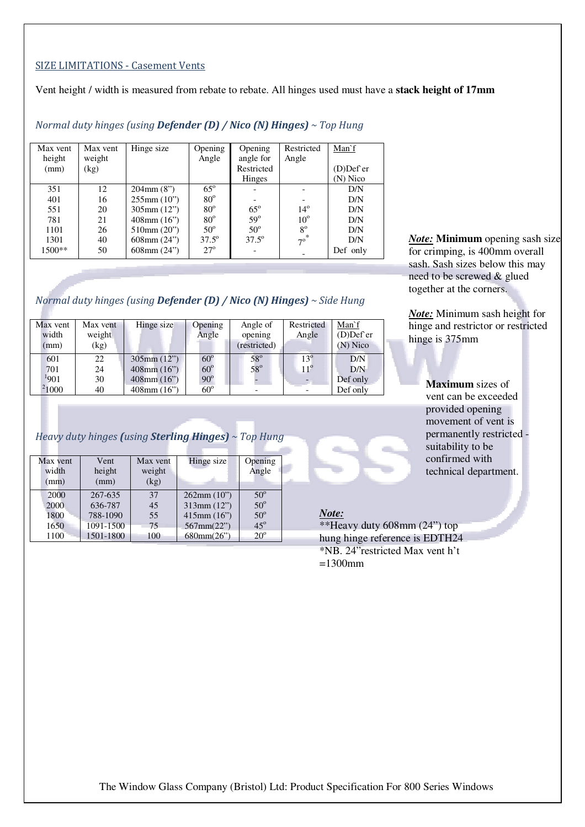#### SIZE LIMITATIONS - Casement Vents

Vent height / width is measured from rebate to rebate. All hinges used must have a **stack height of 17mm** 

| Max vent | Hinge size       |                | Opening        | Restricted   | Man`f     |
|----------|------------------|----------------|----------------|--------------|-----------|
| weight   |                  | Angle          | angle for      | Angle        |           |
| (kg)     |                  |                | Restricted     |              | (D)Def er |
|          |                  |                | Hinges         |              | (N) Nico  |
| 12.      | $204$ mm $(8")$  | $65^\circ$     |                |              | D/N       |
| 16       | $255$ mm $(10")$ | $80^\circ$     |                |              | D/N       |
| 20       | $305$ mm $(12")$ | $80^\circ$     | $65^\circ$     | $14^{\circ}$ | D/N       |
| 21       | $408$ mm $(16")$ | $80^\circ$     | $59^\circ$     | $10^{\circ}$ | D/N       |
| 26       | $510$ mm $(20")$ | $50^\circ$     | $50^\circ$     | $8^{\circ}$  | D/N       |
| 40       | $608$ mm $(24")$ | $37.5^{\circ}$ | $37.5^{\circ}$ |              | D/N       |
| 50       | $608$ mm $(24")$ | $27^\circ$     |                |              | Def only  |
|          |                  |                | Opening        |              | $7^\circ$ |

### Normal duty hinges (using **Defender (D) / Nico (N) Hinges)**  $\sim$  Top Hung

#### Normal duty hinges (using **Defender (D) / Nico (N) Hinges)**  $\sim$  Side Hung

| Max vent<br>width<br>(mm) | Max vent<br>weight<br>(kg) | Hinge size       | Opening<br>Angle | Angle of<br>opening<br>(restricted) | Restricted<br>Angle | Man'f<br>$(D)$ Def er<br>(N) Nico |
|---------------------------|----------------------------|------------------|------------------|-------------------------------------|---------------------|-----------------------------------|
| 601                       | 22                         | $305$ mm $(12")$ | $60^\circ$       | $58^\circ$                          | $13^{\circ}$        | D/N                               |
| 701                       | 24                         | $408$ mm $(16")$ | $60^\circ$       | $58^\circ$                          | $11^{\circ}$        | D/N                               |
| 1901                      | 30                         | $408$ mm $(16")$ | $90^\circ$       |                                     |                     | Def only                          |
| <sup>2</sup> 1000         | 40                         | $408$ mm $(16")$ | $60^{\circ}$     |                                     |                     | Def only                          |

### Heavy duty hinges (using **Sterling Hinges)**  $\sim$  Top Hung

| Max vent<br>width<br>(mm) | Vent<br>height<br>(mm) | Max vent<br>weight<br>(kg) | Hinge size       | Opening<br>Angle |
|---------------------------|------------------------|----------------------------|------------------|------------------|
| 2000                      | 267-635                | 37                         | 262mm(10")       | $50^\circ$       |
| 2000                      | 636-787                | 45                         | 313mm(12")       | $50^\circ$       |
| 1800                      | 788-1090               | 55                         | $415$ mm $(16")$ | $50^{\circ}$     |
| 1650                      | 1091-1500              | 75                         | 567mm(22")       | $45^\circ$       |
| 1100                      | 1501-1800              | 100                        | 680mm(26")       | $20^{\circ}$     |

*Note:* **Minimum** opening sash size for crimping, is 400mm overall sash. Sash sizes below this may need to be screwed & glued together at the corners.

*Note:* Minimum sash height for hinge and restrictor or restricted hinge is 375mm

> **Maximum** sizes of vent can be exceeded provided opening movement of vent is permanently restricted suitability to be confirmed with technical department.

### *Note:*

\*\*Heavy duty 608mm (24") top hung hinge reference is EDTH24 \*NB. 24"restricted Max vent h't  $=1300$ mm

The Window Glass Company (Bristol) Ltd: Product Specification For 800 Series Windows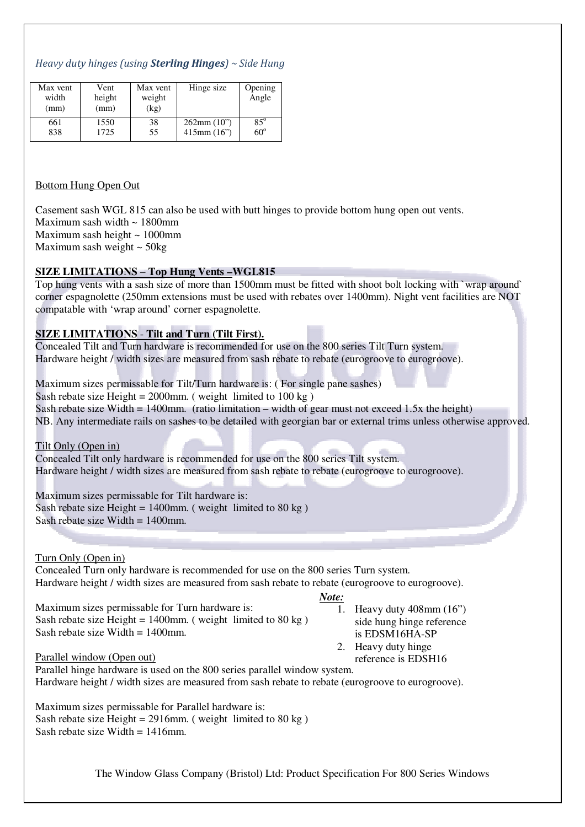### Heavy duty hinges (using **Sterling Hinges**)  $\sim$  Side Hung

| Max vent<br>width<br>(mm) | Vent<br>height<br>(mm) | Max vent<br>weight<br>(kg) | Hinge size       | Opening<br>Angle |
|---------------------------|------------------------|----------------------------|------------------|------------------|
| 661                       | 1550                   | 38                         | 262mm(10")       | $85^\circ$       |
| 838                       | 1725                   | 55                         | $415$ mm $(16")$ | $60^\circ$       |

#### Bottom Hung Open Out

Casement sash WGL 815 can also be used with butt hinges to provide bottom hung open out vents.

Maximum sash width  $\sim 1800$ mm

Maximum sash height  $\sim 1000$ mm

Maximum sash weight ~ 50kg

### **SIZE LIMITATIONS** – **Top Hung Vents –WGL815**

Top hung vents with a sash size of more than 1500mm must be fitted with shoot bolt locking with `wrap around` corner espagnolette (250mm extensions must be used with rebates over 1400mm). Night vent facilities are NOT compatable with 'wrap around' corner espagnolette.

#### **SIZE LIMITATIONS** - **Tilt and Turn (Tilt First).**

Concealed Tilt and Turn hardware is recommended for use on the 800 series Tilt Turn system. Hardware height / width sizes are measured from sash rebate to rebate (eurogroove to eurogroove).

Maximum sizes permissable for Tilt/Turn hardware is: ( For single pane sashes) Sash rebate size Height =  $2000$ mm. (weight limited to 100 kg) Sash rebate size Width = 1400mm. (ratio limitation – width of gear must not exceed 1.5x the height) NB. Any intermediate rails on sashes to be detailed with georgian bar or external trims unless otherwise approved.

Tilt Only (Open in)

Concealed Tilt only hardware is recommended for use on the 800 series Tilt system. Hardware height / width sizes are measured from sash rebate to rebate (eurogroove to eurogroove).

Maximum sizes permissable for Tilt hardware is: Sash rebate size Height =  $1400$ mm. (weight limited to 80 kg) Sash rebate size Width  $= 1400$ mm.

Turn Only (Open in)

Concealed Turn only hardware is recommended for use on the 800 series Turn system. Hardware height / width sizes are measured from sash rebate to rebate (eurogroove to eurogroove).

#### *Note:*

Maximum sizes permissable for Turn hardware is: Sash rebate size Height =  $1400$ mm. (weight limited to 80 kg) Sash rebate size Width  $= 1400$ mm.

- 1. Heavy duty 408mm (16") side hung hinge reference is EDSM16HA-SP
- 2. Heavy duty hinge
	- reference is EDSH16

Parallel window (Open out)

Parallel hinge hardware is used on the 800 series parallel window system. Hardware height / width sizes are measured from sash rebate to rebate (eurogroove to eurogroove).

Maximum sizes permissable for Parallel hardware is: Sash rebate size Height =  $2916$ mm. (weight limited to  $80 \text{ kg}$ ) Sash rebate size Width  $= 1416$ mm.

The Window Glass Company (Bristol) Ltd: Product Specification For 800 Series Windows